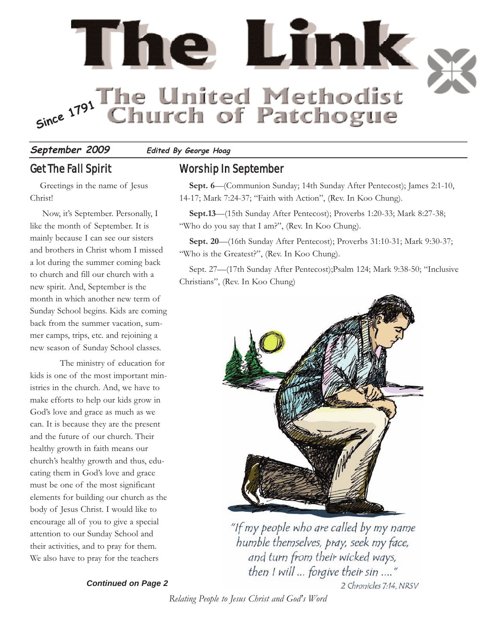

**September 2009 Edited By George Hoag**

# Get The Fall Spirit

Greetings in the name of Jesus Christ!

Now, it's September. Personally, I like the month of September. It is mainly because I can see our sisters and brothers in Christ whom I missed a lot during the summer coming back to church and fill our church with a new spirit. And, September is the month in which another new term of Sunday School begins. Kids are coming back from the summer vacation, summer camps, trips, etc. and rejoining a new season of Sunday School classes.

The ministry of education for kids is one of the most important ministries in the church. And, we have to make efforts to help our kids grow in God's love and grace as much as we can. It is because they are the present and the future of our church. Their healthy growth in faith means our church's healthy growth and thus, educating them in God's love and grace must be one of the most significant elements for building our church as the body of Jesus Christ. I would like to encourage all of you to give a special attention to our Sunday School and their activities, and to pray for them. We also have to pray for the teachers

#### *Continued on Page 2*

# Worship In September

**Sept. 6**—(Communion Sunday; 14th Sunday After Pentecost); James 2:1-10, 14-17; Mark 7:24-37; "Faith with Action", (Rev. In Koo Chung).

**Sept.13**—(15th Sunday After Pentecost); Proverbs 1:20-33; Mark 8:27-38; "Who do you say that I am?", (Rev. In Koo Chung).

**Sept. 20**—(16th Sunday After Pentecost); Proverbs 31:10-31; Mark 9:30-37; "Who is the Greatest?", (Rev. In Koo Chung).

Sept. 27—(17th Sunday After Pentecost);Psalm 124; Mark 9:38-50; "Inclusive Christians", (Rev. In Koo Chung)



"If my people who are called by my name humble themselves, pray, seek my face, and turn from their wicked ways, then I will ... forgive their sin ...." 2 Chronicles 7:14, NRSV

#### *Relating People to Jesus Christ and God's Word*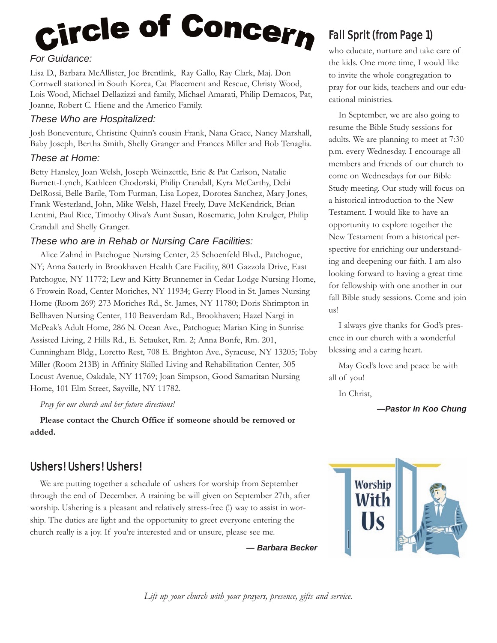# <sub>Circle</sub> of Concer<sub>n</sub>

## *For Guidance:*

Lisa D., Barbara McAllister, Joe Brentlink, Ray Gallo, Ray Clark, Maj. Don Cornwell stationed in South Korea, Cat Placement and Rescue, Christy Wood, Lois Wood, Michael Dellazizzi and family, Michael Amarati, Philip Demacos, Pat, Joanne, Robert C. Hiene and the Americo Family.

#### *These Who are Hospitalized:*

Josh Boneventure, Christine Quinn's cousin Frank, Nana Grace, Nancy Marshall, Baby Joseph, Bertha Smith, Shelly Granger and Frances Miller and Bob Tenaglia.

#### *These at Home:*

Betty Hansley, Joan Welsh, Joseph Weinzettle, Eric & Pat Carlson, Natalie Burnett-Lynch, Kathleen Chodorski, Philip Crandall, Kyra McCarthy, Debi DelRossi, Belle Barile, Tom Furman, Lisa Lopez, Dorotea Sanchez, Mary Jones, Frank Westerland, John, Mike Welsh, Hazel Freely, Dave McKendrick, Brian Lentini, Paul Rice, Timothy Oliva's Aunt Susan, Rosemarie, John Krulger, Philip Crandall and Shelly Granger.

#### *These who are in Rehab or Nursing Care Facilities:*

Alice Zahnd in Patchogue Nursing Center, 25 Schoenfeld Blvd., Patchogue, NY; Anna Satterly in Brookhaven Health Care Facility, 801 Gazzola Drive, East Patchogue, NY 11772; Lew and Kitty Brunnemer in Cedar Lodge Nursing Home, 6 Frowein Road, Center Moriches, NY 11934; Gerry Flood in St. James Nursing Home (Room 269) 273 Moriches Rd., St. James, NY 11780; Doris Shrimpton in Bellhaven Nursing Center, 110 Beaverdam Rd., Brookhaven; Hazel Nargi in McPeak's Adult Home, 286 N. Ocean Ave., Patchogue; Marian King in Sunrise Assisted Living, 2 Hills Rd., E. Setauket, Rm. 2; Anna Bonfe, Rm. 201, Cunningham Bldg., Loretto Rest, 708 E. Brighton Ave., Syracuse, NY 13205; Toby Miller (Room 213B) in Affinity Skilled Living and Rehabilitation Center, 305 Locust Avenue, Oakdale, NY 11769; Joan Simpson, Good Samaritan Nursing Home, 101 Elm Street, Sayville, NY 11782.

*Pray for our church and her future directions!*

**Please contact the Church Office if someone should be removed or added.**

# Ushers! Ushers! Ushers!

We are putting together a schedule of ushers for worship from September through the end of December. A training be will given on September 27th, after worship. Ushering is a pleasant and relatively stress-free (!) way to assist in worship. The duties are light and the opportunity to greet everyone entering the church really is a joy. If you're interested and or unsure, please see me.

*— Barbara Becker*

# Fall Sprit (from Page 1)

who educate, nurture and take care of the kids. One more time, I would like to invite the whole congregation to pray for our kids, teachers and our educational ministries.

In September, we are also going to resume the Bible Study sessions for adults. We are planning to meet at 7:30 p.m. every Wednesday. I encourage all members and friends of our church to come on Wednesdays for our Bible Study meeting. Our study will focus on a historical introduction to the New Testament. I would like to have an opportunity to explore together the New Testament from a historical perspective for enriching our understanding and deepening our faith. I am also looking forward to having a great time for fellowship with one another in our fall Bible study sessions. Come and join us!

I always give thanks for God's presence in our church with a wonderful blessing and a caring heart.

May God's love and peace be with all of you!

In Christ,

*—Pastor In Koo Chung* 



*Lift up your church with your prayers, presence, gifts and service.*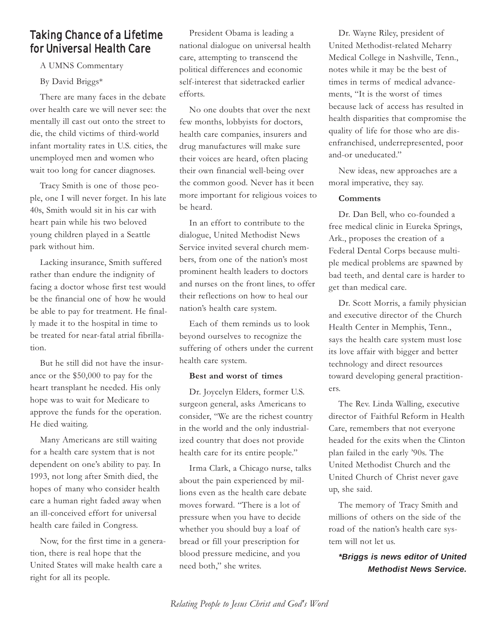# Taking Chance of a Lifetime for Universal Health Care

A UMNS Commentary

By David Briggs\*

There are many faces in the debate over health care we will never see: the mentally ill cast out onto the street to die, the child victims of third-world infant mortality rates in U.S. cities, the unemployed men and women who wait too long for cancer diagnoses.

Tracy Smith is one of those people, one I will never forget. In his late 40s, Smith would sit in his car with heart pain while his two beloved young children played in a Seattle park without him.

Lacking insurance, Smith suffered rather than endure the indignity of facing a doctor whose first test would be the financial one of how he would be able to pay for treatment. He finally made it to the hospital in time to be treated for near-fatal atrial fibrillation.

But he still did not have the insurance or the \$50,000 to pay for the heart transplant he needed. His only hope was to wait for Medicare to approve the funds for the operation. He died waiting.

Many Americans are still waiting for a health care system that is not dependent on one's ability to pay. In 1993, not long after Smith died, the hopes of many who consider health care a human right faded away when an ill-conceived effort for universal health care failed in Congress.

Now, for the first time in a generation, there is real hope that the United States will make health care a right for all its people.

President Obama is leading a national dialogue on universal health care, attempting to transcend the political differences and economic self-interest that sidetracked earlier efforts.

No one doubts that over the next few months, lobbyists for doctors, health care companies, insurers and drug manufactures will make sure their voices are heard, often placing their own financial well-being over the common good. Never has it been more important for religious voices to be heard.

In an effort to contribute to the dialogue, United Methodist News Service invited several church members, from one of the nation's most prominent health leaders to doctors and nurses on the front lines, to offer their reflections on how to heal our nation's health care system.

Each of them reminds us to look beyond ourselves to recognize the suffering of others under the current health care system.

#### **Best and worst of times**

Dr. Joycelyn Elders, former U.S. surgeon general, asks Americans to consider, "We are the richest country in the world and the only industrialized country that does not provide health care for its entire people."

Irma Clark, a Chicago nurse, talks about the pain experienced by millions even as the health care debate moves forward. "There is a lot of pressure when you have to decide whether you should buy a loaf of bread or fill your prescription for blood pressure medicine, and you need both," she writes.

Dr. Wayne Riley, president of United Methodist-related Meharry Medical College in Nashville, Tenn., notes while it may be the best of times in terms of medical advancements, "It is the worst of times because lack of access has resulted in health disparities that compromise the quality of life for those who are disenfranchised, underrepresented, poor and-or uneducated."

New ideas, new approaches are a moral imperative, they say.

#### **Comments**

Dr. Dan Bell, who co-founded a free medical clinic in Eureka Springs, Ark., proposes the creation of a Federal Dental Corps because multiple medical problems are spawned by bad teeth, and dental care is harder to get than medical care.

Dr. Scott Morris, a family physician and executive director of the Church Health Center in Memphis, Tenn., says the health care system must lose its love affair with bigger and better technology and direct resources toward developing general practitioners.

The Rev. Linda Walling, executive director of Faithful Reform in Health Care, remembers that not everyone headed for the exits when the Clinton plan failed in the early '90s. The United Methodist Church and the United Church of Christ never gave up, she said.

The memory of Tracy Smith and millions of others on the side of the road of the nation's health care system will not let us.

*\*Briggs is news editor of United Methodist News Service.*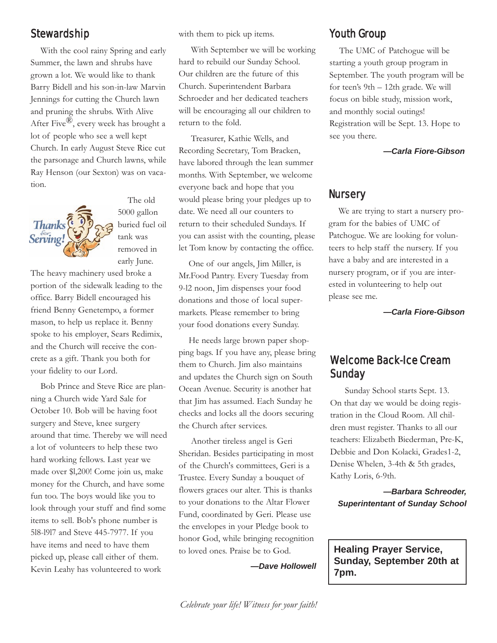# Stewardship

With the cool rainy Spring and early Summer, the lawn and shrubs have grown a lot. We would like to thank Barry Bidell and his son-in-law Marvin Jennings for cutting the Church lawn and pruning the shrubs. With Alive After Five<sup> $\mathbb{R}$ </sup>, every week has brought a lot of people who see a well kept Church. In early August Steve Rice cut the parsonage and Church lawns, while Ray Henson (our Sexton) was on vacation.



The old 5000 gallon buried fuel oil tank was removed in early June.

The heavy machinery used broke a portion of the sidewalk leading to the office. Barry Bidell encouraged his friend Benny Genetempo, a former mason, to help us replace it. Benny spoke to his employer, Sears Redimix, and the Church will receive the concrete as a gift. Thank you both for your fidelity to our Lord.

Bob Prince and Steve Rice are planning a Church wide Yard Sale for October 10. Bob will be having foot surgery and Steve, knee surgery around that time. Thereby we will need a lot of volunteers to help these two hard working fellows. Last year we made over \$l,200! Come join us, make money for the Church, and have some fun too. The boys would like you to look through your stuff and find some items to sell. Bob's phone number is 5l8-l9l7 and Steve 445-7977. If you have items and need to have them picked up, please call either of them. Kevin Leahy has volunteered to work

with them to pick up items.

With September we will be working hard to rebuild our Sunday School. Our children are the future of this Church. Superintendent Barbara Schroeder and her dedicated teachers will be encouraging all our children to return to the fold.

Treasurer, Kathie Wells, and Recording Secretary, Tom Bracken, have labored through the lean summer months. With September, we welcome everyone back and hope that you would please bring your pledges up to date. We need all our counters to return to their scheduled Sundays. If you can assist with the counting, please let Tom know by contacting the office.

One of our angels, Jim Miller, is Mr.Food Pantry. Every Tuesday from 9-l2 noon, Jim dispenses your food donations and those of local supermarkets. Please remember to bring your food donations every Sunday.

He needs large brown paper shopping bags. If you have any, please bring them to Church. Jim also maintains and updates the Church sign on South Ocean Avenue. Security is another hat that Jim has assumed. Each Sunday he checks and locks all the doors securing the Church after services.

Another tireless angel is Geri Sheridan. Besides participating in most of the Church's committees, Geri is a Trustee. Every Sunday a bouquet of flowers graces our alter. This is thanks to your donations to the Altar Flower Fund, coordinated by Geri. Please use the envelopes in your Pledge book to honor God, while bringing recognition to loved ones. Praise be to God.

*—Dave Hollowell*

# Youth Group

The UMC of Patchogue will be starting a youth group program in September. The youth program will be for teen's 9th – 12th grade. We will focus on bible study, mission work, and monthly social outings! Registration will be Sept. 13. Hope to see you there.

*—Carla Fiore-Gibson* 

## **Nursery**

We are trying to start a nursery program for the babies of UMC of Patchogue. We are looking for volunteers to help staff the nursery. If you have a baby and are interested in a nursery program, or if you are interested in volunteering to help out please see me.

*—Carla Fiore-Gibson* 

# Welcome Back-Ice Cream Sunday

Sunday School starts Sept. 13. On that day we would be doing registration in the Cloud Room. All children must register. Thanks to all our teachers: Elizabeth Biederman, Pre-K, Debbie and Don Kolacki, Grades1-2, Denise Whelen, 3-4th & 5th grades, Kathy Loris, 6-9th.

*—Barbara Schreoder, Superintentant of Sunday School* 

**Healing Prayer Service, Sunday, September 20th at 7pm.**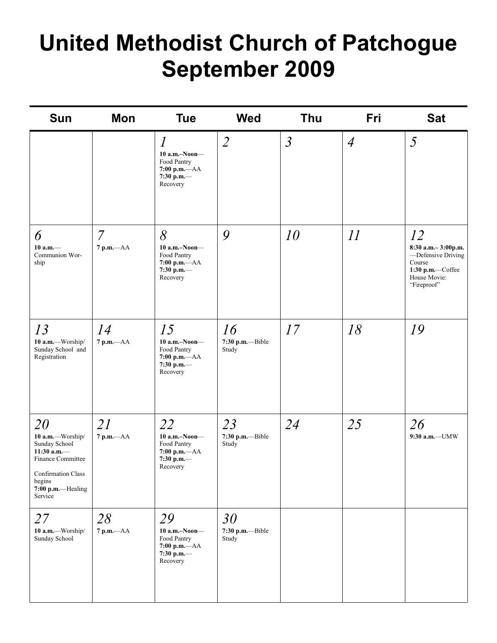# **United Methodist Church of Patchogue September 2009**

| <b>Sun</b>                                                                                                                                     | Mon                            | <b>Tue</b>                                                                                      | <b>Wed</b>                      | Thu            | Fri            | <b>Sat</b>                                                                                                  |
|------------------------------------------------------------------------------------------------------------------------------------------------|--------------------------------|-------------------------------------------------------------------------------------------------|---------------------------------|----------------|----------------|-------------------------------------------------------------------------------------------------------------|
|                                                                                                                                                |                                | $\overline{l}$<br>$10$ a.m.-Noon-<br>Food Pantry<br>$7:00$ p.m.- $AA$<br>7:30 p.m.-<br>Recovery | $\overline{2}$                  | $\mathfrak{Z}$ | $\overline{4}$ | 5                                                                                                           |
| 6<br>$10 a.m.$ —<br>Communion Wor-<br>ship                                                                                                     | $\overline{7}$<br>$7 p.m. -AA$ | 8<br>$10$ a.m.-Noon-<br>Food Pantry<br>$7:00$ p.m.- $AA$<br>7:30 p.m.-<br>Recovery              | 9                               | 10             | 11             | 12<br>8:30 a.m.-3:00p.m.<br>-Defensive Driving<br>Course<br>1:30 p.m.-Coffee<br>House Movie:<br>"Fireproof" |
| 13<br>10 a.m.-Worship/<br>Sunday School and<br>Registration                                                                                    | 14<br>$7 p.m. -AA$             | 15<br>10 a.m.-Noon-<br>Food Pantry<br>$7:00$ p.m. $-AA$<br>7:30 p.m.-<br>Recovery               | 16<br>7:30 p.m.--Bible<br>Study | 17             | 18             | 19                                                                                                          |
| 20<br>10 a.m.-Worship/<br>Sunday School<br>11:30 a.m. $-$<br>Finance Committee<br>Confirmation Class<br>begins<br>7:00 p.m.-Healing<br>Service | 21<br>$7 p.m. -AA$             | 22<br>$10$ a.m.-Noon-<br>Food Pantry<br>$7:00$ p.m.- $AA$<br>7:30 p.m.-<br>Recovery             | 23<br>7:30 p.m.--Bible<br>Study | 24             | 25             | 26<br>9:30 a.m.-UMW                                                                                         |
| 27<br>10 a.m.-Worship/<br>Sunday School                                                                                                        | 28<br>$7 p.m. -AA$             | 29<br>$10$ a.m.-Noon-<br>Food Pantry<br>$7:00$ p.m. $-AA$<br>7:30 p.m.-<br>Recovery             | 30<br>7:30 p.m.--Bible<br>Study |                |                |                                                                                                             |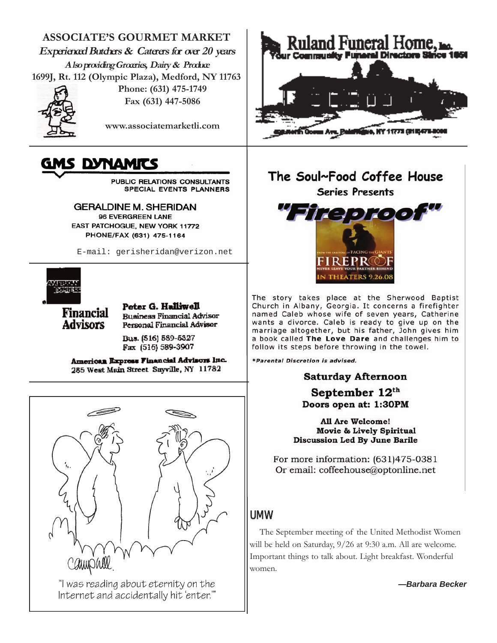**ASSOCIATE'S GOURMET MARKET Experienced Butchers & Caterers for over 20 years Also providing Groceries, Dairy & Produce 1699J, Rt. 112 (Olympic Plaza), Medford, NY 11763**



**Phone: (631) 475-1749 Fax (631) 447-5086**

**www.associatemarketli.com**

# IS DYNAMITS

PUBLIC RELATIONS CONSULTANTS SPECIAL EVENTS PLANNERS

**GERALDINE M. SHERIDAN** 96 EVERGREEN LANE EAST PATCHOGUE, NEW YORK 11772 PHONE/FAX (631) 475-1164

E-mail: gerisheridan@verizon.net



**Financial Advisors** 

Peter G. Halliwell **Business Financial Advisor** Personal Financial Advisor

Bus. (516) 589-5327 Fax (516) 589-3907

American Express Financial Advisors Inc. 285 West Main Street Sayville, NY 11782



"I was reading about eternity on the Internet and accidentally hit 'enter."



# The Soul~Food Coffee House **Series Presents**



The story takes place at the Sherwood Baptist Church in Albany, Georgia. It concerns a firefighter named Caleb whose wife of seven years, Catherine wants a divorce. Caleb is ready to give up on the marriage altogether, but his father, John gives him a book called The Love Dare and challenges him to follow its steps before throwing in the towel.

\*Parental Discretion is advised.

#### **Saturday Afternoon**

September 12th Doors open at: 1:30PM

All Are Welcome! **Movie & Lively Spiritual** Discussion Led By June Barile

For more information: (631)475-0381 Or email: coffeehouse@optonline.net

# UMW

The September meeting of the United Methodist Women will be held on Saturday, 9/26 at 9:30 a.m. All are welcome. Important things to talk about. Light breakfast. Wonderful women.

*—Barbara Becker*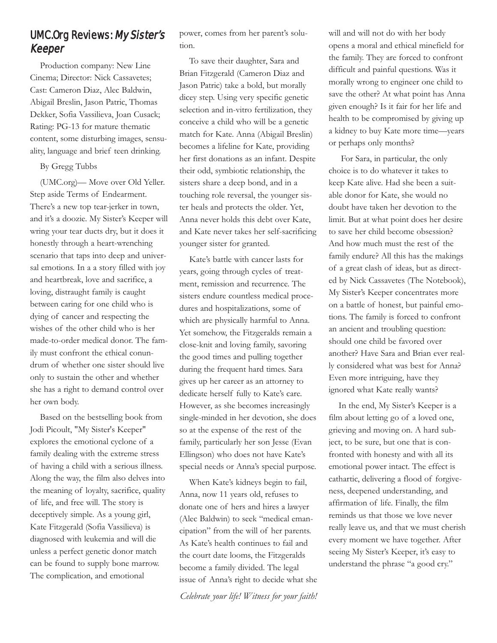# UMC.Org Reviews: My Sister's Keeper

Production company: New Line Cinema; Director: Nick Cassavetes; Cast: Cameron Diaz, Alec Baldwin, Abigail Breslin, Jason Patric, Thomas Dekker, Sofia Vassilieva, Joan Cusack; Rating: PG-13 for mature thematic content, some disturbing images, sensuality, language and brief teen drinking.

By Gregg Tubbs

(UMC.org)— Move over Old Yeller. Step aside Terms of Endearment. There's a new top tear-jerker in town, and it's a doozie. My Sister's Keeper will wring your tear ducts dry, but it does it honestly through a heart-wrenching scenario that taps into deep and universal emotions. In a a story filled with joy and heartbreak, love and sacrifice, a loving, distraught family is caught between caring for one child who is dying of cancer and respecting the wishes of the other child who is her made-to-order medical donor. The family must confront the ethical conundrum of whether one sister should live only to sustain the other and whether she has a right to demand control over her own body.

Based on the bestselling book from Jodi Picoult, "My Sister's Keeper" explores the emotional cyclone of a family dealing with the extreme stress of having a child with a serious illness. Along the way, the film also delves into the meaning of loyalty, sacrifice, quality of life, and free will. The story is deceptively simple. As a young girl, Kate Fitzgerald (Sofia Vassilieva) is diagnosed with leukemia and will die unless a perfect genetic donor match can be found to supply bone marrow. The complication, and emotional

power, comes from her parent's solution.

To save their daughter, Sara and Brian Fitzgerald (Cameron Diaz and Jason Patric) take a bold, but morally dicey step. Using very specific genetic selection and in-vitro fertilization, they conceive a child who will be a genetic match for Kate. Anna (Abigail Breslin) becomes a lifeline for Kate, providing her first donations as an infant. Despite their odd, symbiotic relationship, the sisters share a deep bond, and in a touching role reversal, the younger sister heals and protects the older. Yet, Anna never holds this debt over Kate, and Kate never takes her self-sacrificing younger sister for granted.

Kate's battle with cancer lasts for years, going through cycles of treatment, remission and recurrence. The sisters endure countless medical procedures and hospitalizations, some of which are physically harmful to Anna. Yet somehow, the Fitzgeralds remain a close-knit and loving family, savoring the good times and pulling together during the frequent hard times. Sara gives up her career as an attorney to dedicate herself fully to Kate's care. However, as she becomes increasingly single-minded in her devotion, she does so at the expense of the rest of the family, particularly her son Jesse (Evan Ellingson) who does not have Kate's special needs or Anna's special purpose.

When Kate's kidneys begin to fail, Anna, now 11 years old, refuses to donate one of hers and hires a lawyer (Alec Baldwin) to seek "medical emancipation" from the will of her parents. As Kate's health continues to fail and the court date looms, the Fitzgeralds become a family divided. The legal issue of Anna's right to decide what she

*Celebrate your life! Witness for your faith!*

will and will not do with her body opens a moral and ethical minefield for the family. They are forced to confront difficult and painful questions. Was it morally wrong to engineer one child to save the other? At what point has Anna given enough? Is it fair for her life and health to be compromised by giving up a kidney to buy Kate more time—years or perhaps only months?

For Sara, in particular, the only choice is to do whatever it takes to keep Kate alive. Had she been a suitable donor for Kate, she would no doubt have taken her devotion to the limit. But at what point does her desire to save her child become obsession? And how much must the rest of the family endure? All this has the makings of a great clash of ideas, but as directed by Nick Cassavetes (The Notebook), My Sister's Keeper concentrates more on a battle of honest, but painful emotions. The family is forced to confront an ancient and troubling question: should one child be favored over another? Have Sara and Brian ever really considered what was best for Anna? Even more intriguing, have they ignored what Kate really wants?

In the end, My Sister's Keeper is a film about letting go of a loved one, grieving and moving on. A hard subject, to be sure, but one that is confronted with honesty and with all its emotional power intact. The effect is cathartic, delivering a flood of forgiveness, deepened understanding, and affirmation of life. Finally, the film reminds us that those we love never really leave us, and that we must cherish every moment we have together. After seeing My Sister's Keeper, it's easy to understand the phrase "a good cry."